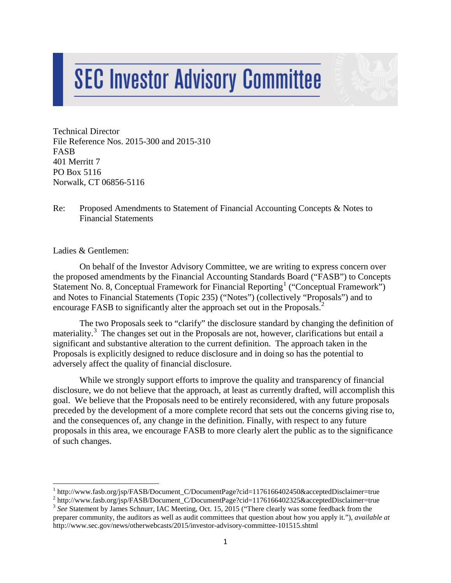# **SEC Investor Advisory Committee**

Technical Director File Reference Nos. 2015-300 and 2015-310 FASB 401 Merritt 7 PO Box 5116 Norwalk, CT 06856-5116

# Re: Proposed Amendments to Statement of Financial Accounting Concepts & Notes to Financial Statements

Ladies & Gentlemen:

On behalf of the Investor Advisory Committee, we are writing to express concern over the proposed amendments by the Financial Accounting Standards Board ("FASB") to Concepts Statement No. 8, Conceptual Framework for Financial Reporting<sup>[1](#page-0-0)</sup> ("Conceptual Framework") and Notes to Financial Statements (Topic 235) ("Notes") (collectively "Proposals") and to encourage FASB to significantly alter the approach set out in the Proposals.<sup>[2](#page-0-1)</sup>

The two Proposals seek to "clarify" the disclosure standard by changing the definition of materiality.<sup>[3](#page-0-2)</sup> The changes set out in the Proposals are not, however, clarifications but entail a significant and substantive alteration to the current definition. The approach taken in the Proposals is explicitly designed to reduce disclosure and in doing so has the potential to adversely affect the quality of financial disclosure.

While we strongly support efforts to improve the quality and transparency of financial disclosure, we do not believe that the approach, at least as currently drafted, will accomplish this goal. We believe that the Proposals need to be entirely reconsidered, with any future proposals preceded by the development of a more complete record that sets out the concerns giving rise to, and the consequences of, any change in the definition. Finally, with respect to any future proposals in this area, we encourage FASB to more clearly alert the public as to the significance of such changes.

<span id="page-0-0"></span> $1$  http://www.fasb.org/jsp/FASB/Document\_C/DocumentPage?cid=1176166402450&acceptedDisclaimer=true

<span id="page-0-1"></span><sup>&</sup>lt;sup>2</sup> http://www.fasb.org/jsp/FASB/Document\_C/DocumentPage?cid=1176166402325&acceptedDisclaimer=true <sup>3</sup> *See* Statement by James Schnurr, IAC Meeting, Oct. 15, 2015 ("There clearly was some feedback from the

<span id="page-0-2"></span>preparer community, the auditors as well as audit committees that question about how you apply it."), *available at* http://www.sec.gov/news/otherwebcasts/2015/investor-advisory-committee-101515.shtml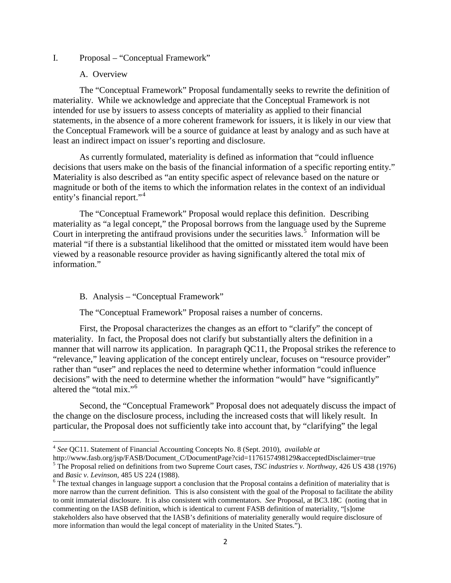#### I. Proposal – "Conceptual Framework"

### A. Overview

The "Conceptual Framework" Proposal fundamentally seeks to rewrite the definition of materiality. While we acknowledge and appreciate that the Conceptual Framework is not intended for use by issuers to assess concepts of materiality as applied to their financial statements, in the absence of a more coherent framework for issuers, it is likely in our view that the Conceptual Framework will be a source of guidance at least by analogy and as such have at least an indirect impact on issuer's reporting and disclosure.

As currently formulated, materiality is defined as information that "could influence decisions that users make on the basis of the financial information of a specific reporting entity." Materiality is also described as "an entity specific aspect of relevance based on the nature or magnitude or both of the items to which the information relates in the context of an individual entity's financial report."<sup>[4](#page-1-0)</sup>

The "Conceptual Framework" Proposal would replace this definition. Describing materiality as "a legal concept," the Proposal borrows from the language used by the Supreme Court in interpreting the antifraud provisions under the securities laws.<sup>[5](#page-1-1)</sup> Information will be material "if there is a substantial likelihood that the omitted or misstated item would have been viewed by a reasonable resource provider as having significantly altered the total mix of information."

## B. Analysis – "Conceptual Framework"

The "Conceptual Framework" Proposal raises a number of concerns.

First, the Proposal characterizes the changes as an effort to "clarify" the concept of materiality. In fact, the Proposal does not clarify but substantially alters the definition in a manner that will narrow its application. In paragraph QC11, the Proposal strikes the reference to "relevance," leaving application of the concept entirely unclear, focuses on "resource provider" rather than "user" and replaces the need to determine whether information "could influence decisions" with the need to determine whether the information "would" have "significantly" altered the "total mix."<sup>[6](#page-1-2)</sup>

Second, the "Conceptual Framework" Proposal does not adequately discuss the impact of the change on the disclosure process, including the increased costs that will likely result. In particular, the Proposal does not sufficiently take into account that, by "clarifying" the legal

<span id="page-1-0"></span><sup>4</sup> *See* QC11. Statement of Financial Accounting Concepts No. 8 (Sept. 2010), *available at*

<span id="page-1-1"></span>http://www.fasb.org/jsp/FASB/Document\_C/DocumentPage?cid=1176157498129&acceptedDisclaimer=true <sup>5</sup> The Proposal relied on definitions from two Supreme Court cases, *TSC industries v. Northway*, 426 US 438 (1976) and *Basic v. Levinson*, 485 US 224 (1988).

<span id="page-1-2"></span><sup>&</sup>lt;sup>6</sup> The textual changes in language support a conclusion that the Proposal contains a definition of materiality that is more narrow than the current definition. This is also consistent with the goal of the Proposal to facilitate the ability to omit immaterial disclosure. It is also consistent with commentators. *See* Proposal, at BC3.18C (noting that in commenting on the IASB definition, which is identical to current FASB definition of materiality, "[s]ome stakeholders also have observed that the IASB's definitions of materiality generally would require disclosure of more information than would the legal concept of materiality in the United States.").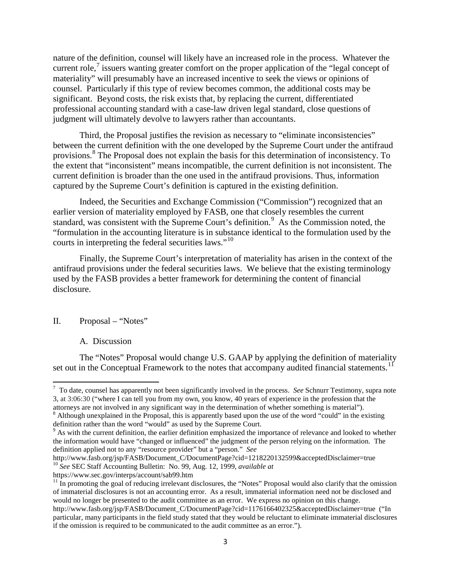nature of the definition, counsel will likely have an increased role in the process. Whatever the current role, $\frac{7}{1}$  $\frac{7}{1}$  $\frac{7}{1}$  issuers wanting greater comfort on the proper application of the "legal concept of materiality" will presumably have an increased incentive to seek the views or opinions of counsel. Particularly if this type of review becomes common, the additional costs may be significant. Beyond costs, the risk exists that, by replacing the current, differentiated professional accounting standard with a case-law driven legal standard, close questions of judgment will ultimately devolve to lawyers rather than accountants.

Third, the Proposal justifies the revision as necessary to "eliminate inconsistencies" between the current definition with the one developed by the Supreme Court under the antifraud provisions.[8](#page-2-1) The Proposal does not explain the basis for this determination of inconsistency. To the extent that "inconsistent" means incompatible, the current definition is not inconsistent. The current definition is broader than the one used in the antifraud provisions. Thus, information captured by the Supreme Court's definition is captured in the existing definition.

Indeed, the Securities and Exchange Commission ("Commission") recognized that an earlier version of materiality employed by FASB, one that closely resembles the current standard, was consistent with the Supreme Court's definition.<sup>[9](#page-2-2)</sup> As the Commission noted, the "formulation in the accounting literature is in substance identical to the formulation used by the courts in interpreting the federal securities laws."<sup>10</sup>

Finally, the Supreme Court's interpretation of materiality has arisen in the context of the antifraud provisions under the federal securities laws. We believe that the existing terminology used by the FASB provides a better framework for determining the content of financial disclosure.

## II. Proposal – "Notes"

### A. Discussion

The "Notes" Proposal would change U.S. GAAP by applying the definition of materiality set out in the Conceptual Framework to the notes that accompany audited financial statements.<sup>[11](#page-2-4)</sup>

<span id="page-2-0"></span><sup>⊤&</sup>lt;br>7 To date, counsel has apparently not been significantly involved in the process. *See* Schnurr Testimony, supra note 3, at 3:06:30 ("where I can tell you from my own, you know, 40 years of experience in the profession that the

<span id="page-2-1"></span>attorneys are not involved in any significant way in the determination of whether something is material"). <sup>8</sup> Although unexplained in the Proposal, this is apparently based upon the use of the word "could" in the existing

<span id="page-2-2"></span> $\beta$  As with the current definition, the earlier definition emphasized the importance of relevance and looked to whether the information would have "changed or influenced" the judgment of the person relying on the information. The definition applied not to any "resource provider" but a "person." *See*

http://www.fasb.org/jsp/FASB/Document\_C/DocumentPage?cid=1218220132599&acceptedDisclaimer=true <sup>10</sup> *See* SEC Staff Accounting Bulletin: No. 99, Aug. 12, 1999, *available at*

<span id="page-2-3"></span>https://www.sec.gov/interps/account/sab99.htm

<span id="page-2-4"></span> $11$  In promoting the goal of reducing irrelevant disclosures, the "Notes" Proposal would also clarify that the omission of immaterial disclosures is not an accounting error. As a result, immaterial information need not be disclosed and would no longer be presented to the audit committee as an error. We express no opinion on this change. http://www.fasb.org/jsp/FASB/Document\_C/DocumentPage?cid=1176166402325&acceptedDisclaimer=true ("In particular, many participants in the field study stated that they would be reluctant to eliminate immaterial disclosures if the omission is required to be communicated to the audit committee as an error.").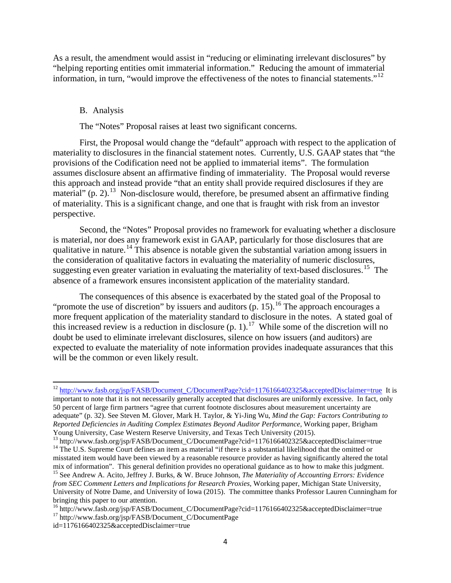As a result, the amendment would assist in "reducing or eliminating irrelevant disclosures" by "helping reporting entities omit immaterial information." Reducing the amount of immaterial information, in turn, "would improve the effectiveness of the notes to financial statements."<sup>12</sup>

## B. Analysis

The "Notes" Proposal raises at least two significant concerns.

First, the Proposal would change the "default" approach with respect to the application of materiality to disclosures in the financial statement notes. Currently, U.S. GAAP states that "the provisions of the Codification need not be applied to immaterial items". The formulation assumes disclosure absent an affirmative finding of immateriality. The Proposal would reverse this approach and instead provide "that an entity shall provide required disclosures if they are material" (p. 2).<sup>[13](#page-3-1)</sup> Non-disclosure would, therefore, be presumed absent an affirmative finding of materiality. This is a significant change, and one that is fraught with risk from an investor perspective.

Second, the "Notes" Proposal provides no framework for evaluating whether a disclosure is material, nor does any framework exist in GAAP, particularly for those disclosures that are qualitative in nature.[14](#page-3-2) This absence is notable given the substantial variation among issuers in the consideration of qualitative factors in evaluating the materiality of numeric disclosures, suggesting even greater variation in evaluating the materiality of text-based disclosures.<sup>[15](#page-3-3)</sup> The absence of a framework ensures inconsistent application of the materiality standard.

The consequences of this absence is exacerbated by the stated goal of the Proposal to "promote the use of discretion" by issuers and auditors  $(p. 15)$ .<sup>[16](#page-3-4)</sup> The approach encourages a more frequent application of the materiality standard to disclosure in the notes. A stated goal of this increased review is a reduction in disclosure  $(p, 1)$ .<sup>[17](#page-3-5)</sup> While some of the discretion will no doubt be used to eliminate irrelevant disclosures, silence on how issuers (and auditors) are expected to evaluate the materiality of note information provides inadequate assurances that this will be the common or even likely result.

<span id="page-3-0"></span><sup>&</sup>lt;sup>12</sup> [http://www.fasb.org/jsp/FASB/Document\\_C/DocumentPage?cid=1176166402325&acceptedDisclaimer=true](http://www.fasb.org/jsp/FASB/Document_C/DocumentPage?cid=1176166402325&acceptedDisclaimer=true) It is important to note that it is not necessarily generally accepted that disclosures are uniformly excessive. In fact, only 50 percent of large firm partners "agree that current footnote disclosures about measurement uncertainty are adequate" (p. 32). See Steven M. Glover, Mark H. Taylor, & Yi-Jing Wu, *Mind the Gap: Factors Contributing to Reported Deficiencies in Auditing Complex Estimates Beyond Auditor Performance*, Working paper, Brigham Young University, Case Western Reserve University, and Texas Tech University (2015).<br><sup>13</sup> http://www.fasb.org/isp/FASB/Document\_C/DocumentPage?cid=1176166402325&acceptedDisclaimer=true

<span id="page-3-3"></span><span id="page-3-2"></span><span id="page-3-1"></span><sup>&</sup>lt;sup>14</sup> The U.S. Supreme Court defines an item as material "if there is a substantial likelihood that the omitted or misstated item would have been viewed by a reasonable resource provider as having significantly altered the total mix of information". This general definition provides no operational guidance as to how to make this judgmen <sup>15</sup> See Andrew A. Acito, Jeffrey J. Burks, & W. Bruce Johnson, *The Materiality of Accounting Errors: Evidence from SEC Comment Letters and Implications for Research Proxies*, Working paper, Michigan State University, University of Notre Dame, and University of Iowa (2015). The committee thanks Professor Lauren Cunningham for bringing this paper to our attention.

<span id="page-3-4"></span><sup>&</sup>lt;sup>16</sup> http://www.fasb.org/jsp/FASB/Document\_C/DocumentPage?cid=1176166402325&acceptedDisclaimer=true <sup>17</sup> http://www.fasb.org/jsp/FASB/Document\_C/DocumentPage

<span id="page-3-5"></span>id=1176166402325&acceptedDisclaimer=true